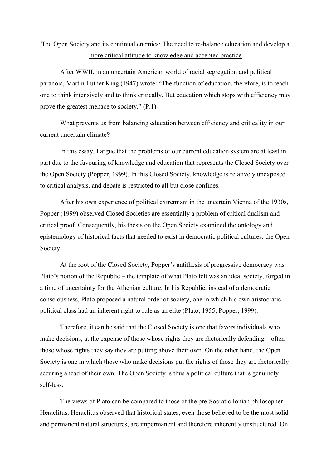## The Open Society and its continual enemies: The need to re-balance education and develop a more critical attitude to knowledge and accepted practice

After WWII, in an uncertain American world of racial segregation and political paranoia, Martin Luther King (1947) wrote: "The function of education, therefore, is to teach one to think intensively and to think critically. But education which stops with efficiency may prove the greatest menace to society." (P.1)

What prevents us from balancing education between efficiency and criticality in our current uncertain climate?

In this essay, I argue that the problems of our current education system are at least in part due to the favouring of knowledge and education that represents the Closed Society over the Open Society (Popper, 1999). In this Closed Society, knowledge is relatively unexposed to critical analysis, and debate is restricted to all but close confines.

After his own experience of political extremism in the uncertain Vienna of the 1930s, Popper (1999) observed Closed Societies are essentially a problem of critical dualism and critical proof. Consequently, his thesis on the Open Society examined the ontology and epistemology of historical facts that needed to exist in democratic political cultures: the Open Society.

At the root of the Closed Society, Popper's antithesis of progressive democracy was Plato's notion of the Republic – the template of what Plato felt was an ideal society, forged in a time of uncertainty for the Athenian culture. In his Republic, instead of a democratic consciousness, Plato proposed a natural order of society, one in which his own aristocratic political class had an inherent right to rule as an elite (Plato, 1955; Popper, 1999).

Therefore, it can be said that the Closed Society is one that favors individuals who make decisions, at the expense of those whose rights they are rhetorically defending – often those whose rights they say they are putting above their own. On the other hand, the Open Society is one in which those who make decisions put the rights of those they are rhetorically securing ahead of their own. The Open Society is thus a political culture that is genuinely self-less.

The views of Plato can be compared to those of the pre-Socratic Ionian philosopher Heraclitus. Heraclitus observed that historical states, even those believed to be the most solid and permanent natural structures, are impermanent and therefore inherently unstructured. On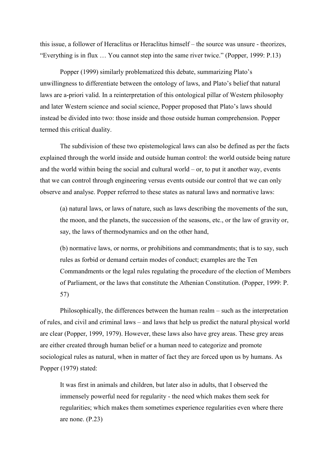this issue, a follower of Heraclitus or Heraclitus himself – the source was unsure - theorizes, "Everything is in flux … You cannot step into the same river twice." (Popper, 1999: P.13)

Popper (1999) similarly problematized this debate, summarizing Plato's unwillingness to differentiate between the ontology of laws, and Plato's belief that natural laws are a-priori valid. In a reinterpretation of this ontological pillar of Western philosophy and later Western science and social science, Popper proposed that Plato's laws should instead be divided into two: those inside and those outside human comprehension. Popper termed this critical duality.

The subdivision of these two epistemological laws can also be defined as per the facts explained through the world inside and outside human control: the world outside being nature and the world within being the social and cultural world  $-$  or, to put it another way, events that we can control through engineering versus events outside our control that we can only observe and analyse. Popper referred to these states as natural laws and normative laws:

(a) natural laws, or laws of nature, such as laws describing the movements of the sun, the moon, and the planets, the succession of the seasons, etc., or the law of gravity or, say, the laws of thermodynamics and on the other hand,

(b) normative laws, or norms, or prohibitions and commandments; that is to say, such rules as forbid or demand certain modes of conduct; examples are the Ten Commandments or the legal rules regulating the procedure of the election of Members of Parliament, or the laws that constitute the Athenian Constitution. (Popper, 1999: P. 57)

Philosophically, the differences between the human realm – such as the interpretation of rules, and civil and criminal laws – and laws that help us predict the natural physical world are clear (Popper, 1999, 1979). However, these laws also have grey areas. These grey areas are either created through human belief or a human need to categorize and promote sociological rules as natural, when in matter of fact they are forced upon us by humans. As Popper (1979) stated:

It was first in animals and children, but later also in adults, that I observed the immensely powerful need for regularity - the need which makes them seek for regularities; which makes them sometimes experience regularities even where there are none. (P.23)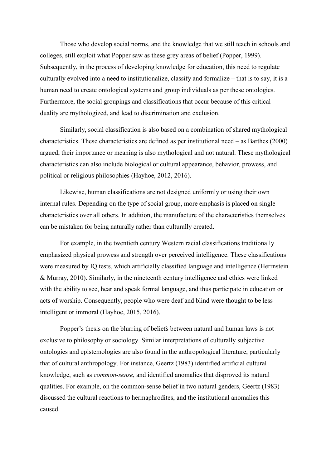Those who develop social norms, and the knowledge that we still teach in schools and colleges, still exploit what Popper saw as these grey areas of belief (Popper, 1999). Subsequently, in the process of developing knowledge for education, this need to regulate culturally evolved into a need to institutionalize, classify and formalize – that is to say, it is a human need to create ontological systems and group individuals as per these ontologies. Furthermore, the social groupings and classifications that occur because of this critical duality are mythologized, and lead to discrimination and exclusion.

Similarly, social classification is also based on a combination of shared mythological characteristics. These characteristics are defined as per institutional need – as Barthes (2000) argued, their importance or meaning is also mythological and not natural. These mythological characteristics can also include biological or cultural appearance, behavior, prowess, and political or religious philosophies (Hayhoe, 2012, 2016).

Likewise, human classifications are not designed uniformly or using their own internal rules. Depending on the type of social group, more emphasis is placed on single characteristics over all others. In addition, the manufacture of the characteristics themselves can be mistaken for being naturally rather than culturally created.

For example, in the twentieth century Western racial classifications traditionally emphasized physical prowess and strength over perceived intelligence. These classifications were measured by IQ tests, which artificially classified language and intelligence (Herrnstein & Murray, 2010). Similarly, in the nineteenth century intelligence and ethics were linked with the ability to see, hear and speak formal language, and thus participate in education or acts of worship. Consequently, people who were deaf and blind were thought to be less intelligent or immoral (Hayhoe, 2015, 2016).

Popper's thesis on the blurring of beliefs between natural and human laws is not exclusive to philosophy or sociology. Similar interpretations of culturally subjective ontologies and epistemologies are also found in the anthropological literature, particularly that of cultural anthropology. For instance, Geertz (1983) identified artificial cultural knowledge, such as *common-sense*, and identified anomalies that disproved its natural qualities. For example, on the common-sense belief in two natural genders, Geertz (1983) discussed the cultural reactions to hermaphrodites, and the institutional anomalies this caused.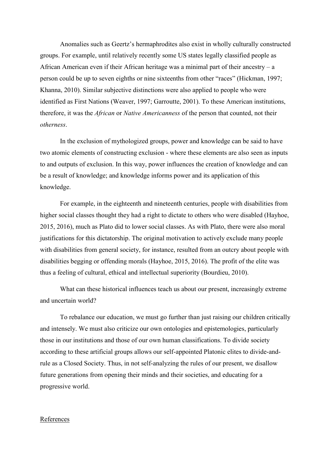Anomalies such as Geertz's hermaphrodites also exist in wholly culturally constructed groups. For example, until relatively recently some US states legally classified people as African American even if their African heritage was a minimal part of their ancestry – a person could be up to seven eighths or nine sixteenths from other "races" (Hickman, 1997; Khanna, 2010). Similar subjective distinctions were also applied to people who were identified as First Nations (Weaver, 1997; Garroutte, 2001). To these American institutions, therefore, it was the *African* or *Native Americanness* of the person that counted, not their *otherness*.

In the exclusion of mythologized groups, power and knowledge can be said to have two atomic elements of constructing exclusion - where these elements are also seen as inputs to and outputs of exclusion. In this way, power influences the creation of knowledge and can be a result of knowledge; and knowledge informs power and its application of this knowledge.

For example, in the eighteenth and nineteenth centuries, people with disabilities from higher social classes thought they had a right to dictate to others who were disabled (Hayhoe, 2015, 2016), much as Plato did to lower social classes. As with Plato, there were also moral justifications for this dictatorship. The original motivation to actively exclude many people with disabilities from general society, for instance, resulted from an outcry about people with disabilities begging or offending morals (Hayhoe, 2015, 2016). The profit of the elite was thus a feeling of cultural, ethical and intellectual superiority (Bourdieu, 2010).

What can these historical influences teach us about our present, increasingly extreme and uncertain world?

To rebalance our education, we must go further than just raising our children critically and intensely. We must also criticize our own ontologies and epistemologies, particularly those in our institutions and those of our own human classifications. To divide society according to these artificial groups allows our self-appointed Platonic elites to divide-andrule as a Closed Society. Thus, in not self-analyzing the rules of our present, we disallow future generations from opening their minds and their societies, and educating for a progressive world.

## References